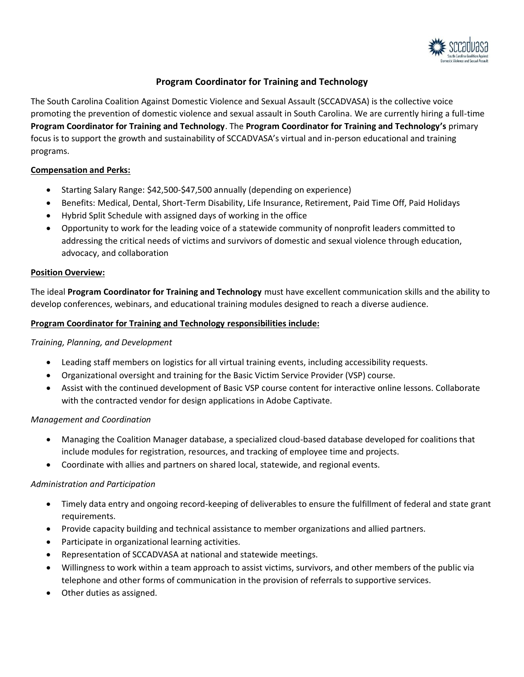

# **Program Coordinator for Training and Technology**

The South Carolina Coalition Against Domestic Violence and Sexual Assault (SCCADVASA) is the collective voice promoting the prevention of domestic violence and sexual assault in South Carolina. We are currently hiring a full-time **Program Coordinator for Training and Technology**. The **Program Coordinator for Training and Technology's** primary focus is to support the growth and sustainability of SCCADVASA's virtual and in-person educational and training programs.

## **Compensation and Perks:**

- Starting Salary Range: \$42,500-\$47,500 annually (depending on experience)
- Benefits: Medical, Dental, Short-Term Disability, Life Insurance, Retirement, Paid Time Off, Paid Holidays
- Hybrid Split Schedule with assigned days of working in the office
- Opportunity to work for the leading voice of a statewide community of nonprofit leaders committed to addressing the critical needs of victims and survivors of domestic and sexual violence through education, advocacy, and collaboration

#### **Position Overview:**

The ideal **Program Coordinator for Training and Technology** must have excellent communication skills and the ability to develop conferences, webinars, and educational training modules designed to reach a diverse audience.

#### **Program Coordinator for Training and Technology responsibilities include:**

#### *Training, Planning, and Development*

- Leading staff members on logistics for all virtual training events, including accessibility requests.
- Organizational oversight and training for the Basic Victim Service Provider (VSP) course.
- Assist with the continued development of Basic VSP course content for interactive online lessons. Collaborate with the contracted vendor for design applications in Adobe Captivate.

#### *Management and Coordination*

- Managing the Coalition Manager database, a specialized cloud-based database developed for coalitions that include modules for registration, resources, and tracking of employee time and projects.
- Coordinate with allies and partners on shared local, statewide, and regional events.

#### *Administration and Participation*

- Timely data entry and ongoing record-keeping of deliverables to ensure the fulfillment of federal and state grant requirements.
- Provide capacity building and technical assistance to member organizations and allied partners.
- Participate in organizational learning activities.
- Representation of SCCADVASA at national and statewide meetings.
- Willingness to work within a team approach to assist victims, survivors, and other members of the public via telephone and other forms of communication in the provision of referrals to supportive services.
- Other duties as assigned.